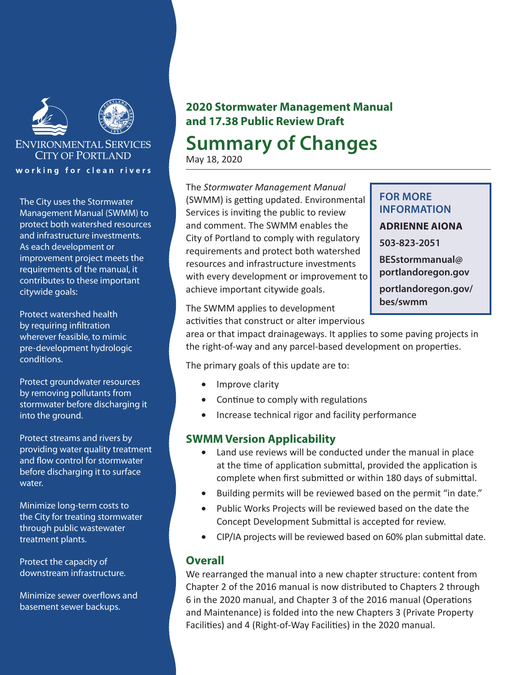

# **ENVIRONMENTAL SERVICES CITY OF PORTLAND** working for clean rivers

The City uses the Stormwater Management Manual (SWMM) to protect both watershed resources and infrastructure investments. As each development or improvement project meets the requirements of the manual, it contributes to these important citywide goals:

Protect watershed health by requiring infiltration wherever feasible, to mimic pre-development hydrologic conditions.

Protect groundwater resources by removing pollutants from stormwater before discharging it into the ground.

Protect streams and rivers by providing water quality treatment and flow control for stormwater before discharging it to surface water.

Minimize long-term costs to the City for treating stormwater through public wastewater treatment plants.

Protect the capacity of downstream infrastructure.

Minimize sewer overflows and basement sewer backups.

# **2020 Stormwater Management Manual and 17.38 Public Review Draft**

# **Summary of Changes**

May 18, 2020

The *Stormwater Management Manual* (SWMM) is getting updated. Environmental Services is inviting the public to review and comment. The SWMM enables the City of Portland to comply with regulatory requirements and protect both watershed resources and infrastructure investments with every development or improvement to achieve important citywide goals.

# **FOR MORE INFORMATION ADRIENNE AIONA 503-823-2051 BESstormmanual@ portlandoregon.gov portlandoregon.gov/**

The SWMM applies to development **bes/swmm**

activities that construct or alter impervious

area or that impact drainageways. It applies to some paving projects in the right-of-way and any parcel-based development on properties.

The primary goals of this update are to:

- Improve clarity
- Continue to comply with regulations
- • Increase technical rigor and facility performance

# **SWMM Version Applicability**

- Land use reviews will be conducted under the manual in place at the time of application submittal, provided the application is complete when first submitted or within 180 days of submittal.
- Building permits will be reviewed based on the permit "in date."
- Public Works Projects will be reviewed based on the date the Concept Development Submittal is accepted for review.
- CIP/IA projects will be reviewed based on 60% plan submittal date.

# **Overall**

We rearranged the manual into a new chapter structure: content from Chapter 2 of the 2016 manual is now distributed to Chapters 2 through 6 in the 2020 manual, and Chapter 3 of the 2016 manual (Operations and Maintenance) is folded into the new Chapters 3 (Private Property Facilities) and 4 (Right-of-Way Facilities) in the 2020 manual.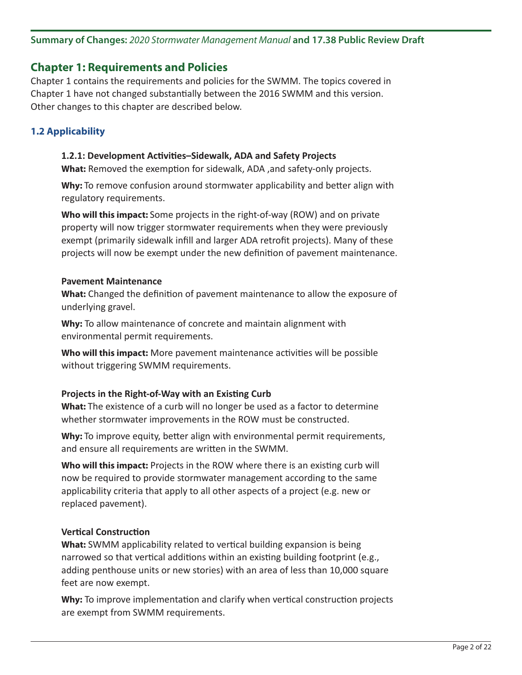# **Summary of Changes:** *2020 Stormwater Management Manual* **and 17.38 Public Review Draft**

# **Chapter 1: Requirements and Policies**

Chapter 1 contains the requirements and policies for the SWMM. The topics covered in Chapter 1 have not changed substantially between the 2016 SWMM and this version. Other changes to this chapter are described below.

# **1.2 Applicability**

### **1.2.1: Development Activities–Sidewalk, ADA and Safety Projects**

**What:** Removed the exemption for sidewalk, ADA ,and safety-only projects.

**Why:** To remove confusion around stormwater applicability and better align with regulatory requirements.

**Who will this impact:** Some projects in the right-of-way (ROW) and on private property will now trigger stormwater requirements when they were previously exempt (primarily sidewalk infill and larger ADA retrofit projects). Many of these projects will now be exempt under the new definition of pavement maintenance.

#### **Pavement Maintenance**

**What:** Changed the definition of pavement maintenance to allow the exposure of underlying gravel.

**Why:** To allow maintenance of concrete and maintain alignment with environmental permit requirements.

**Who will this impact:** More pavement maintenance activities will be possible without triggering SWMM requirements.

# **Projects in the Right-of-Way with an Existing Curb**

**What:** The existence of a curb will no longer be used as a factor to determine whether stormwater improvements in the ROW must be constructed.

**Why:** To improve equity, better align with environmental permit requirements, and ensure all requirements are written in the SWMM.

**Who will this impact:** Projects in the ROW where there is an existing curb will now be required to provide stormwater management according to the same applicability criteria that apply to all other aspects of a project (e.g. new or replaced pavement).

# **Vertical Construction**

**What:** SWMM applicability related to vertical building expansion is being narrowed so that vertical additions within an existing building footprint (e.g., adding penthouse units or new stories) with an area of less than 10,000 square feet are now exempt.

**Why:** To improve implementation and clarify when vertical construction projects are exempt from SWMM requirements.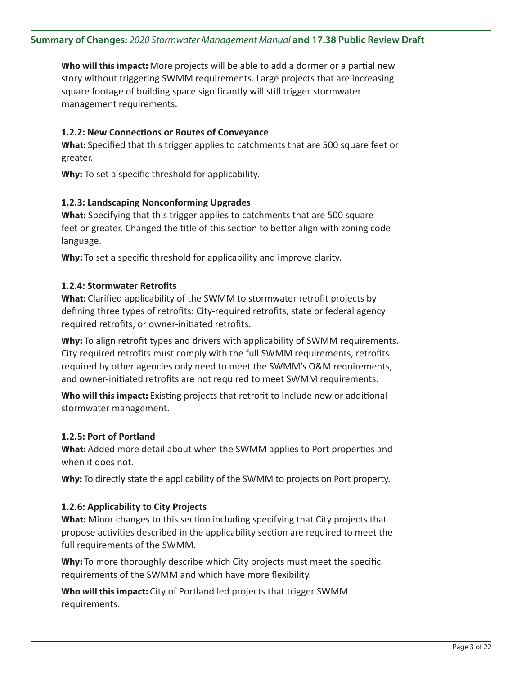**Who will this impact:** More projects will be able to add a dormer or a partial new story without triggering SWMM requirements. Large projects that are increasing square footage of building space significantly will still trigger stormwater management requirements.

# **1.2.2: New Connections or Routes of Conveyance**

**What:** Specified that this trigger applies to catchments that are 500 square feet or greater.

**Why:** To set a specific threshold for applicability.

# **1.2.3: Landscaping Nonconforming Upgrades**

**What:** Specifying that this trigger applies to catchments that are 500 square feet or greater. Changed the title of this section to better align with zoning code language.

Why: To set a specific threshold for applicability and improve clarity.

# **1.2.4: Stormwater Retrofits**

**What:** Clarified applicability of the SWMM to stormwater retrofit projects by defining three types of retrofits: City-required retrofits, state or federal agency required retrofits, or owner-initiated retrofits.

**Why:** To align retrofit types and drivers with applicability of SWMM requirements. City required retrofits must comply with the full SWMM requirements, retrofits required by other agencies only need to meet the SWMM's O&M requirements, and owner-initiated retrofits are not required to meet SWMM requirements.

**Who will this impact:** Existing projects that retrofit to include new or additional stormwater management.

# **1.2.5: Port of Portland**

**What:** Added more detail about when the SWMM applies to Port properties and when it does not.

**Why:** To directly state the applicability of the SWMM to projects on Port property.

# **1.2.6: Applicability to City Projects**

**What:** Minor changes to this section including specifying that City projects that propose activities described in the applicability section are required to meet the full requirements of the SWMM.

**Why:** To more thoroughly describe which City projects must meet the specific requirements of the SWMM and which have more flexibility.

**Who will this impact:** City of Portland led projects that trigger SWMM requirements.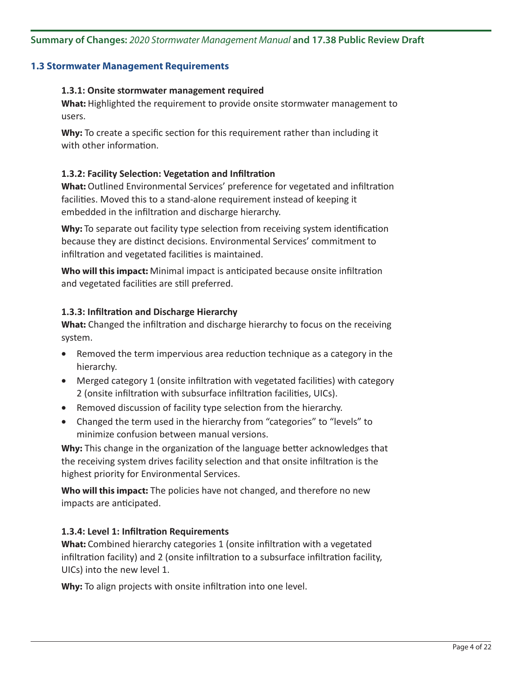# **1.3 Stormwater Management Requirements**

#### **1.3.1: Onsite stormwater management required**

**What:** Highlighted the requirement to provide onsite stormwater management to users.

**Why:** To create a specific section for this requirement rather than including it with other information.

# **1.3.2: Facility Selection: Vegetation and Infiltration**

**What:** Outlined Environmental Services' preference for vegetated and infiltration facilities. Moved this to a stand-alone requirement instead of keeping it embedded in the infiltration and discharge hierarchy.

**Why:** To separate out facility type selection from receiving system identification because they are distinct decisions. Environmental Services' commitment to infiltration and vegetated facilities is maintained.

**Who will this impact:** Minimal impact is anticipated because onsite infiltration and vegetated facilities are still preferred.

#### **1.3.3: Infiltration and Discharge Hierarchy**

**What:** Changed the infiltration and discharge hierarchy to focus on the receiving system.

- Removed the term impervious area reduction technique as a category in the hierarchy.
- Merged category 1 (onsite infiltration with vegetated facilities) with category 2 (onsite infiltration with subsurface infiltration facilities, UICs).
- Removed discussion of facility type selection from the hierarchy.
- Changed the term used in the hierarchy from "categories" to "levels" to minimize confusion between manual versions.

**Why:** This change in the organization of the language better acknowledges that the receiving system drives facility selection and that onsite infiltration is the highest priority for Environmental Services.

**Who will this impact:** The policies have not changed, and therefore no new impacts are anticipated.

# **1.3.4: Level 1: Infiltration Requirements**

**What:** Combined hierarchy categories 1 (onsite infiltration with a vegetated infiltration facility) and 2 (onsite infiltration to a subsurface infiltration facility, UICs) into the new level 1.

**Why:** To align projects with onsite infiltration into one level.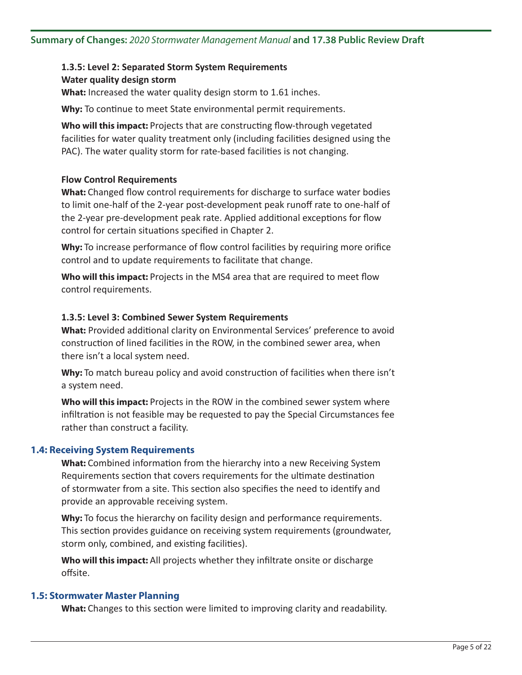# **1.3.5: Level 2: Separated Storm System Requirements Water quality design storm**

**What:** Increased the water quality design storm to 1.61 inches.

**Why:** To continue to meet State environmental permit requirements.

**Who will this impact:** Projects that are constructing flow-through vegetated facilities for water quality treatment only (including facilities designed using the PAC). The water quality storm for rate-based facilities is not changing.

# **Flow Control Requirements**

**What:** Changed flow control requirements for discharge to surface water bodies to limit one-half of the 2-year post-development peak runoff rate to one-half of the 2-year pre-development peak rate. Applied additional exceptions for flow control for certain situations specified in Chapter 2.

**Why:** To increase performance of flow control facilities by requiring more orifice control and to update requirements to facilitate that change.

**Who will this impact:** Projects in the MS4 area that are required to meet flow control requirements.

# **1.3.5: Level 3: Combined Sewer System Requirements**

**What:** Provided additional clarity on Environmental Services' preference to avoid construction of lined facilities in the ROW, in the combined sewer area, when there isn't a local system need.

**Why:** To match bureau policy and avoid construction of facilities when there isn't a system need.

**Who will this impact:** Projects in the ROW in the combined sewer system where infiltration is not feasible may be requested to pay the Special Circumstances fee rather than construct a facility.

# **1.4: Receiving System Requirements**

**What:** Combined information from the hierarchy into a new Receiving System Requirements section that covers requirements for the ultimate destination of stormwater from a site. This section also specifies the need to identify and provide an approvable receiving system.

**Why:** To focus the hierarchy on facility design and performance requirements. This section provides guidance on receiving system requirements (groundwater, storm only, combined, and existing facilities).

**Who will this impact:** All projects whether they infiltrate onsite or discharge offsite.

#### **1.5: Stormwater Master Planning**

**What:** Changes to this section were limited to improving clarity and readability.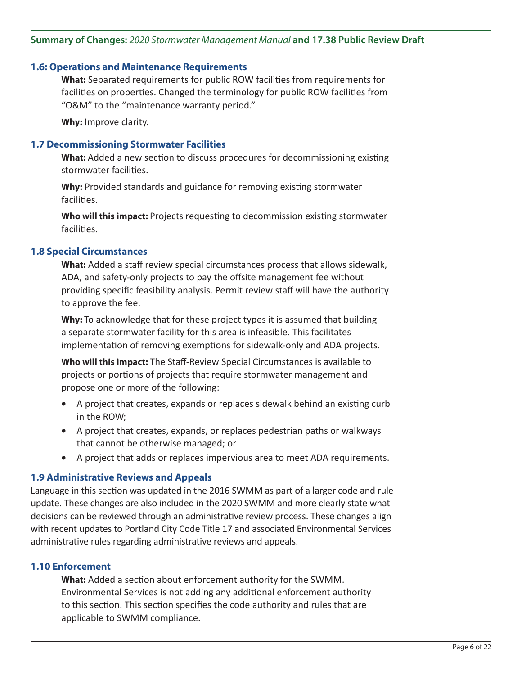# **Summary of Changes:** *2020 Stormwater Management Manual* **and 17.38 Public Review Draft**

#### **1.6: Operations and Maintenance Requirements**

**What:** Separated requirements for public ROW facilities from requirements for facilities on properties. Changed the terminology for public ROW facilities from "O&M" to the "maintenance warranty period."

**Why:** Improve clarity.

### **1.7 Decommissioning Stormwater Facilities**

**What:** Added a new section to discuss procedures for decommissioning existing stormwater facilities.

**Why:** Provided standards and guidance for removing existing stormwater facilities.

**Who will this impact:** Projects requesting to decommission existing stormwater facilities.

#### **1.8 Special Circumstances**

**What:** Added a staff review special circumstances process that allows sidewalk, ADA, and safety-only projects to pay the offsite management fee without providing specific feasibility analysis. Permit review staff will have the authority to approve the fee.

**Why:** To acknowledge that for these project types it is assumed that building a separate stormwater facility for this area is infeasible. This facilitates implementation of removing exemptions for sidewalk-only and ADA projects.

**Who will this impact:** The Staff-Review Special Circumstances is available to projects or portions of projects that require stormwater management and propose one or more of the following:

- A project that creates, expands or replaces sidewalk behind an existing curb in the ROW;
- • A project that creates, expands, or replaces pedestrian paths or walkways that cannot be otherwise managed; or
- • A project that adds or replaces impervious area to meet ADA requirements.

# **1.9 Administrative Reviews and Appeals**

Language in this section was updated in the 2016 SWMM as part of a larger code and rule update. These changes are also included in the 2020 SWMM and more clearly state what decisions can be reviewed through an administrative review process. These changes align with recent updates to Portland City Code Title 17 and associated Environmental Services administrative rules regarding administrative reviews and appeals.

#### **1.10 Enforcement**

**What:** Added a section about enforcement authority for the SWMM. Environmental Services is not adding any additional enforcement authority to this section. This section specifies the code authority and rules that are applicable to SWMM compliance.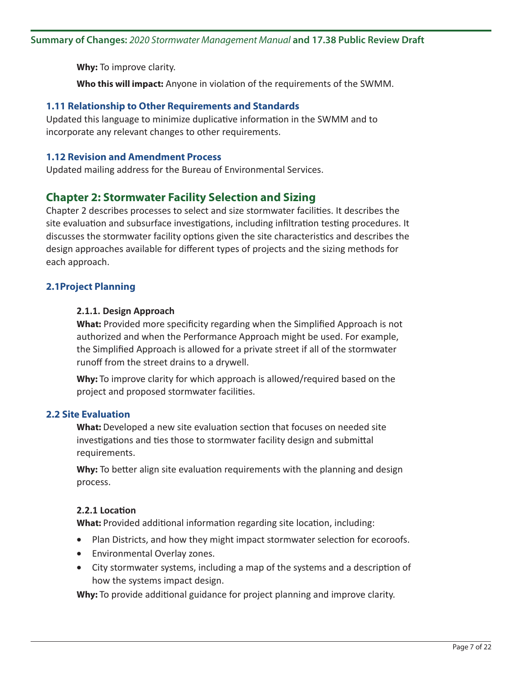**Why:** To improve clarity.

**Who this will impact:** Anyone in violation of the requirements of the SWMM.

# **1.11 Relationship to Other Requirements and Standards**

Updated this language to minimize duplicative information in the SWMM and to incorporate any relevant changes to other requirements.

# **1.12 Revision and Amendment Process**

Updated mailing address for the Bureau of Environmental Services.

# **Chapter 2: Stormwater Facility Selection and Sizing**

Chapter 2 describes processes to select and size stormwater facilities. It describes the site evaluation and subsurface investigations, including infiltration testing procedures. It discusses the stormwater facility options given the site characteristics and describes the design approaches available for different types of projects and the sizing methods for each approach.

# **2.1Project Planning**

# **2.1.1. Design Approach**

**What:** Provided more specificity regarding when the Simplified Approach is not authorized and when the Performance Approach might be used. For example, the Simplified Approach is allowed for a private street if all of the stormwater runoff from the street drains to a drywell.

**Why:** To improve clarity for which approach is allowed/required based on the project and proposed stormwater facilities.

# **2.2 Site Evaluation**

**What:** Developed a new site evaluation section that focuses on needed site investigations and ties those to stormwater facility design and submittal requirements.

**Why:** To better align site evaluation requirements with the planning and design process.

# **2.2.1 Location**

**What:** Provided additional information regarding site location, including:

- Plan Districts, and how they might impact stormwater selection for ecoroofs.
- • Environmental Overlay zones.
- City stormwater systems, including a map of the systems and a description of how the systems impact design.

**Why:** To provide additional guidance for project planning and improve clarity.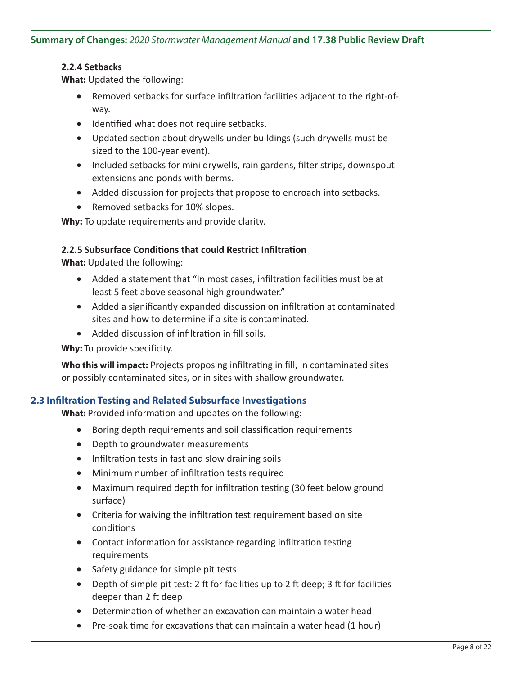# **2.2.4 Setbacks**

**What:** Updated the following:

- Removed setbacks for surface infiltration facilities adjacent to the right-ofway.
- • Identified what does not require setbacks.
- Updated section about drywells under buildings (such drywells must be sized to the 100-year event).
- Included setbacks for mini drywells, rain gardens, filter strips, downspout extensions and ponds with berms.
- Added discussion for projects that propose to encroach into setbacks.
- Removed setbacks for 10% slopes.

**Why:** To update requirements and provide clarity.

# **2.2.5 Subsurface Conditions that could Restrict Infiltration**

**What:** Updated the following:

- Added a statement that "In most cases, infiltration facilities must be at least 5 feet above seasonal high groundwater."
- Added a significantly expanded discussion on infiltration at contaminated sites and how to determine if a site is contaminated.
- Added discussion of infiltration in fill soils.

# **Why:** To provide specificity.

**Who this will impact:** Projects proposing infiltrating in fill, in contaminated sites or possibly contaminated sites, or in sites with shallow groundwater.

# **2.3 Infiltration Testing and Related Subsurface Investigations**

**What:** Provided information and updates on the following:

- Boring depth requirements and soil classification requirements
- Depth to groundwater measurements
- Infiltration tests in fast and slow draining soils
- • Minimum number of infiltration tests required
- Maximum required depth for infiltration testing (30 feet below ground surface)
- Criteria for waiving the infiltration test requirement based on site conditions
- Contact information for assistance regarding infiltration testing requirements
- Safety guidance for simple pit tests
- Depth of simple pit test: 2 ft for facilities up to 2 ft deep; 3 ft for facilities deeper than 2 ft deep
- Determination of whether an excavation can maintain a water head
- Pre-soak time for excavations that can maintain a water head (1 hour)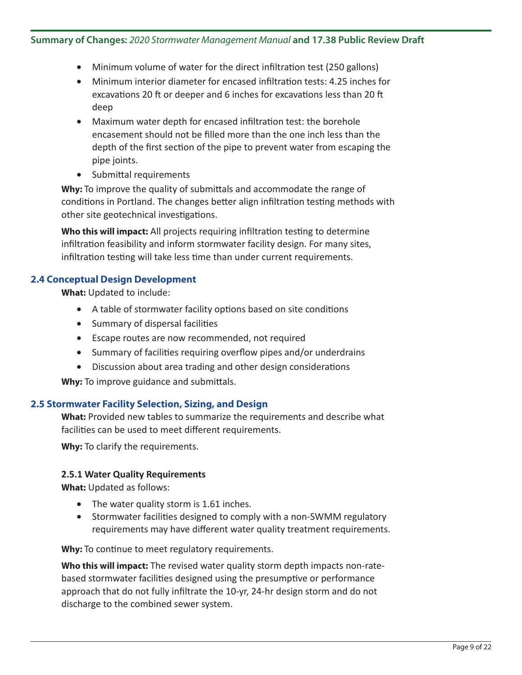# **Summary of Changes:** *2020 Stormwater Management Manual* **and 17.38 Public Review Draft**

- Minimum volume of water for the direct infiltration test (250 gallons)
- Minimum interior diameter for encased infiltration tests: 4.25 inches for excavations 20 ft or deeper and 6 inches for excavations less than 20 ft deep
- Maximum water depth for encased infiltration test: the borehole encasement should not be filled more than the one inch less than the depth of the first section of the pipe to prevent water from escaping the pipe joints.
- • Submittal requirements

**Why:** To improve the quality of submittals and accommodate the range of conditions in Portland. The changes better align infiltration testing methods with other site geotechnical investigations.

**Who this will impact:** All projects requiring infiltration testing to determine infiltration feasibility and inform stormwater facility design. For many sites, infiltration testing will take less time than under current requirements.

# **2.4 Conceptual Design Development**

**What:** Updated to include:

- • A table of stormwater facility options based on site conditions
- • Summary of dispersal facilities
- • Escape routes are now recommended, not required
- Summary of facilities requiring overflow pipes and/or underdrains
- Discussion about area trading and other design considerations

**Why:** To improve guidance and submittals.

# **2.5 Stormwater Facility Selection, Sizing, and Design**

**What:** Provided new tables to summarize the requirements and describe what facilities can be used to meet different requirements.

**Why:** To clarify the requirements.

# **2.5.1 Water Quality Requirements**

**What:** Updated as follows:

- The water quality storm is 1.61 inches.
- Stormwater facilities designed to comply with a non-SWMM regulatory requirements may have different water quality treatment requirements.

Why: To continue to meet regulatory requirements.

**Who this will impact:** The revised water quality storm depth impacts non-ratebased stormwater facilities designed using the presumptive or performance approach that do not fully infiltrate the 10-yr, 24-hr design storm and do not discharge to the combined sewer system.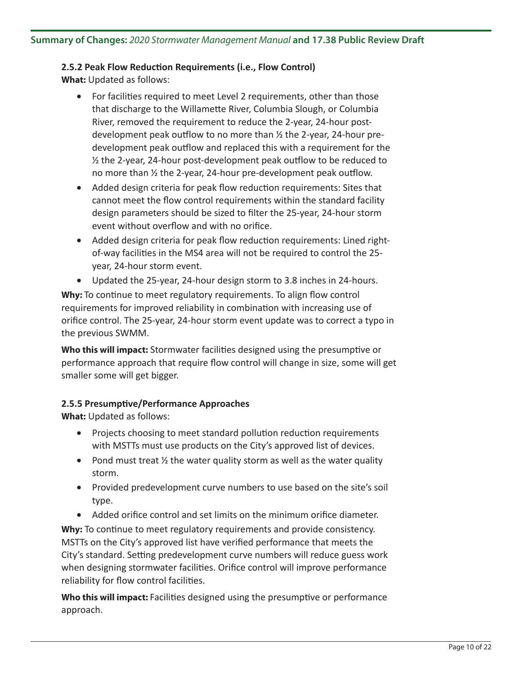# **2.5.2 Peak Flow Reduction Requirements (i.e., Flow Control)**

**What:** Updated as follows:

- For facilities required to meet Level 2 requirements, other than those that discharge to the Willamette River, Columbia Slough, or Columbia River, removed the requirement to reduce the 2-year, 24-hour postdevelopment peak outflow to no more than ½ the 2-year, 24-hour predevelopment peak outflow and replaced this with a requirement for the ½ the 2-year, 24-hour post-development peak outflow to be reduced to no more than ½ the 2-year, 24-hour pre-development peak outflow.
- Added design criteria for peak flow reduction requirements: Sites that cannot meet the flow control requirements within the standard facility design parameters should be sized to filter the 25-year, 24-hour storm event without overflow and with no orifice.
- Added design criteria for peak flow reduction requirements: Lined rightof-way facilities in the MS4 area will not be required to control the 25 year, 24-hour storm event.
- Updated the 25-year, 24-hour design storm to 3.8 inches in 24-hours.

Why: To continue to meet regulatory requirements. To align flow control requirements for improved reliability in combination with increasing use of orifice control. The 25-year, 24-hour storm event update was to correct a typo in the previous SWMM.

**Who this will impact:** Stormwater facilities designed using the presumptive or performance approach that require flow control will change in size, some will get smaller some will get bigger.

# **2.5.5 Presumptive/Performance Approaches**

**What:** Updated as follows:

- Projects choosing to meet standard pollution reduction requirements with MSTTs must use products on the City's approved list of devices.
- Pond must treat  $\frac{1}{2}$  the water quality storm as well as the water quality storm.
- Provided predevelopment curve numbers to use based on the site's soil type.
- Added orifice control and set limits on the minimum orifice diameter.

**Why:** To continue to meet regulatory requirements and provide consistency. MSTTs on the City's approved list have verified performance that meets the City's standard. Setting predevelopment curve numbers will reduce guess work when designing stormwater facilities. Orifice control will improve performance reliability for flow control facilities.

**Who this will impact:** Facilities designed using the presumptive or performance approach.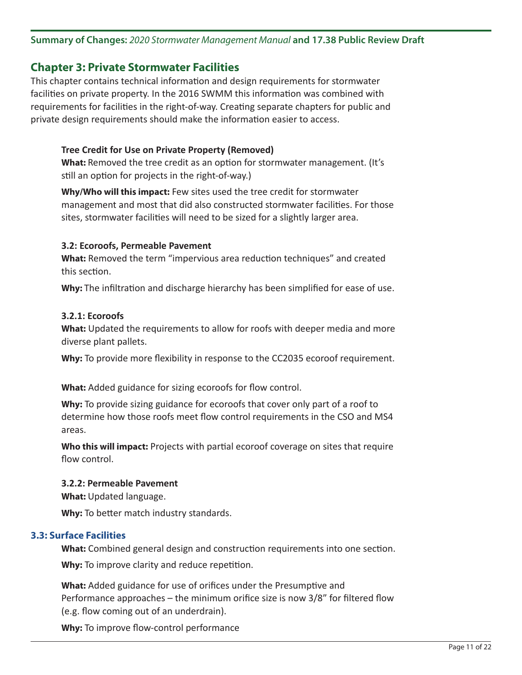# **Summary of Changes:** *2020 Stormwater Management Manual* **and 17.38 Public Review Draft**

# **Chapter 3: Private Stormwater Facilities**

This chapter contains technical information and design requirements for stormwater facilities on private property. In the 2016 SWMM this information was combined with requirements for facilities in the right-of-way. Creating separate chapters for public and private design requirements should make the information easier to access.

# **Tree Credit for Use on Private Property (Removed)**

**What:** Removed the tree credit as an option for stormwater management. (It's still an option for projects in the right-of-way.)

**Why/Who will this impact:** Few sites used the tree credit for stormwater management and most that did also constructed stormwater facilities. For those sites, stormwater facilities will need to be sized for a slightly larger area.

# **3.2: Ecoroofs, Permeable Pavement**

**What:** Removed the term "impervious area reduction techniques" and created this section.

**Why:** The infiltration and discharge hierarchy has been simplified for ease of use.

#### **3.2.1: Ecoroofs**

**What:** Updated the requirements to allow for roofs with deeper media and more diverse plant pallets.

**Why:** To provide more flexibility in response to the CC2035 ecoroof requirement.

**What:** Added guidance for sizing ecoroofs for flow control.

**Why:** To provide sizing guidance for ecoroofs that cover only part of a roof to determine how those roofs meet flow control requirements in the CSO and MS4 areas.

**Who this will impact:** Projects with partial ecoroof coverage on sites that require flow control.

#### **3.2.2: Permeable Pavement**

**What:** Updated language.

**Why:** To better match industry standards.

# **3.3: Surface Facilities**

**What:** Combined general design and construction requirements into one section.

**Why:** To improve clarity and reduce repetition.

**What:** Added guidance for use of orifices under the Presumptive and Performance approaches – the minimum orifice size is now 3/8" for filtered flow (e.g. flow coming out of an underdrain).

**Why:** To improve flow-control performance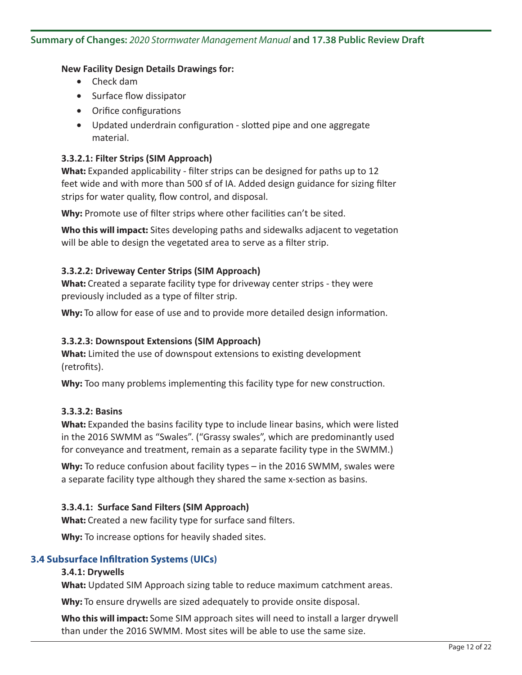### **New Facility Design Details Drawings for:**

- • Check dam
- • Surface flow dissipator
- • Orifice configurations
- Updated underdrain configuration slotted pipe and one aggregate material.

# **3.3.2.1: Filter Strips (SIM Approach)**

**What:** Expanded applicability - filter strips can be designed for paths up to 12 feet wide and with more than 500 sf of IA. Added design guidance for sizing filter strips for water quality, flow control, and disposal.

**Why:** Promote use of filter strips where other facilities can't be sited.

**Who this will impact:** Sites developing paths and sidewalks adjacent to vegetation will be able to design the vegetated area to serve as a filter strip.

# **3.3.2.2: Driveway Center Strips (SIM Approach)**

**What:** Created a separate facility type for driveway center strips - they were previously included as a type of filter strip.

**Why:** To allow for ease of use and to provide more detailed design information.

# **3.3.2.3: Downspout Extensions (SIM Approach)**

**What:** Limited the use of downspout extensions to existing development (retrofits).

**Why:** Too many problems implementing this facility type for new construction.

# **3.3.3.2: Basins**

**What:** Expanded the basins facility type to include linear basins, which were listed in the 2016 SWMM as "Swales". ("Grassy swales", which are predominantly used for conveyance and treatment, remain as a separate facility type in the SWMM.)

**Why:** To reduce confusion about facility types – in the 2016 SWMM, swales were a separate facility type although they shared the same x-section as basins.

# **3.3.4.1: Surface Sand Filters (SIM Approach)**

**What:** Created a new facility type for surface sand filters.

**Why:** To increase options for heavily shaded sites.

# **3.4 Subsurface Infiltration Systems (UICs)**

# **3.4.1: Drywells**

**What:** Updated SIM Approach sizing table to reduce maximum catchment areas.

**Why:** To ensure drywells are sized adequately to provide onsite disposal.

**Who this will impact:** Some SIM approach sites will need to install a larger drywell than under the 2016 SWMM. Most sites will be able to use the same size.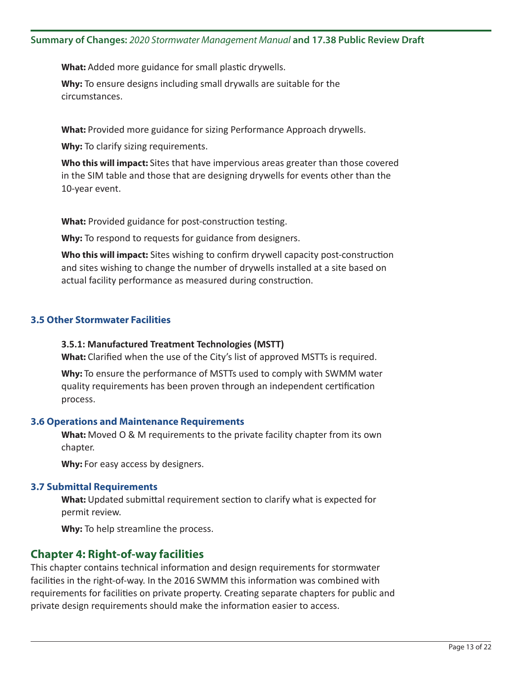**What:** Added more guidance for small plastic drywells.

**Why:** To ensure designs including small drywalls are suitable for the circumstances.

**What:** Provided more guidance for sizing Performance Approach drywells.

**Why:** To clarify sizing requirements.

**Who this will impact:** Sites that have impervious areas greater than those covered in the SIM table and those that are designing drywells for events other than the 10-year event.

**What:** Provided guidance for post-construction testing.

**Why:** To respond to requests for guidance from designers.

**Who this will impact:** Sites wishing to confirm drywell capacity post-construction and sites wishing to change the number of drywells installed at a site based on actual facility performance as measured during construction.

# **3.5 Other Stormwater Facilities**

#### **3.5.1: Manufactured Treatment Technologies (MSTT)**

**What:** Clarified when the use of the City's list of approved MSTTs is required.

**Why:** To ensure the performance of MSTTs used to comply with SWMM water quality requirements has been proven through an independent certification process.

#### **3.6 Operations and Maintenance Requirements**

**What:** Moved O & M requirements to the private facility chapter from its own chapter.

Why: For easy access by designers.

#### **3.7 Submittal Requirements**

**What:** Updated submittal requirement section to clarify what is expected for permit review.

**Why:** To help streamline the process.

# **Chapter 4: Right-of-way facilities**

This chapter contains technical information and design requirements for stormwater facilities in the right-of-way. In the 2016 SWMM this information was combined with requirements for facilities on private property. Creating separate chapters for public and private design requirements should make the information easier to access.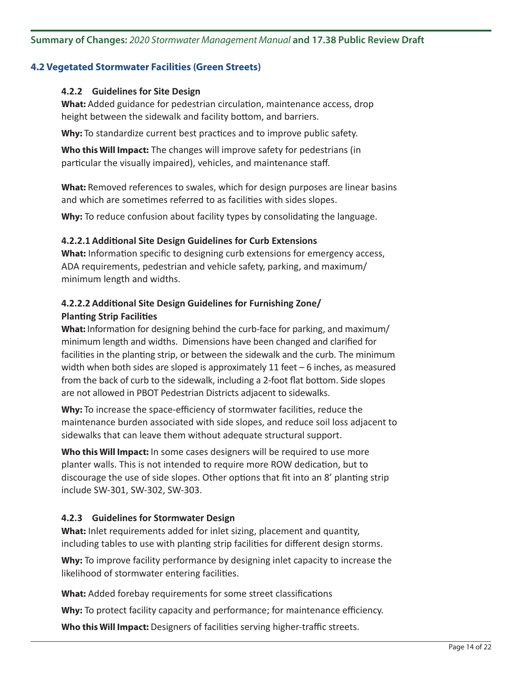# **4.2 Vegetated Stormwater Facilities (Green Streets)**

# **4.2.2 Guidelines for Site Design**

**What:** Added guidance for pedestrian circulation, maintenance access, drop height between the sidewalk and facility bottom, and barriers.

Why: To standardize current best practices and to improve public safety.

**Who this Will Impact:** The changes will improve safety for pedestrians (in particular the visually impaired), vehicles, and maintenance staff.

**What:** Removed references to swales, which for design purposes are linear basins and which are sometimes referred to as facilities with sides slopes.

**Why:** To reduce confusion about facility types by consolidating the language.

#### **4.2.2.1 Additional Site Design Guidelines for Curb Extensions**

**What:** Information specific to designing curb extensions for emergency access, ADA requirements, pedestrian and vehicle safety, parking, and maximum/ minimum length and widths.

# **4.2.2.2 Additional Site Design Guidelines for Furnishing Zone/ Planting Strip Facilities**

**What:** Information for designing behind the curb-face for parking, and maximum/ minimum length and widths. Dimensions have been changed and clarified for facilities in the planting strip, or between the sidewalk and the curb. The minimum width when both sides are sloped is approximately 11 feet – 6 inches, as measured from the back of curb to the sidewalk, including a 2-foot flat bottom. Side slopes are not allowed in PBOT Pedestrian Districts adjacent to sidewalks.

**Why:** To increase the space-efficiency of stormwater facilities, reduce the maintenance burden associated with side slopes, and reduce soil loss adjacent to sidewalks that can leave them without adequate structural support.

**Who this Will Impact:** In some cases designers will be required to use more planter walls. This is not intended to require more ROW dedication, but to discourage the use of side slopes. Other options that fit into an 8' planting strip include SW-301, SW-302, SW-303.

# **4.2.3 Guidelines for Stormwater Design**

**What:** Inlet requirements added for inlet sizing, placement and quantity, including tables to use with planting strip facilities for different design storms.

**Why:** To improve facility performance by designing inlet capacity to increase the likelihood of stormwater entering facilities.

**What:** Added forebay requirements for some street classifications

**Why:** To protect facility capacity and performance; for maintenance efficiency.

**Who this Will Impact:** Designers of facilities serving higher-traffic streets.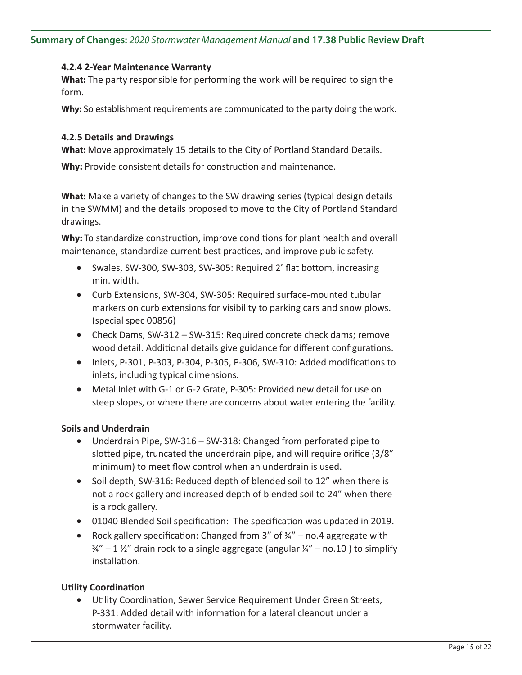# **4.2.4 2-Year Maintenance Warranty**

**What:** The party responsible for performing the work will be required to sign the form.

**Why:** So establishment requirements are communicated to the party doing the work.

# **4.2.5 Details and Drawings**

**What:** Move approximately 15 details to the City of Portland Standard Details.

**Why:** Provide consistent details for construction and maintenance.

**What:** Make a variety of changes to the SW drawing series (typical design details in the SWMM) and the details proposed to move to the City of Portland Standard drawings.

**Why:** To standardize construction, improve conditions for plant health and overall maintenance, standardize current best practices, and improve public safety.

- Swales, SW-300, SW-303, SW-305: Required 2' flat bottom, increasing min. width.
- Curb Extensions, SW-304, SW-305: Required surface-mounted tubular markers on curb extensions for visibility to parking cars and snow plows. (special spec 00856)
- Check Dams, SW-312 SW-315: Required concrete check dams; remove wood detail. Additional details give guidance for different configurations.
- • Inlets, P-301, P-303, P-304, P-305, P-306, SW-310: Added modifications to inlets, including typical dimensions.
- Metal Inlet with G-1 or G-2 Grate, P-305: Provided new detail for use on steep slopes, or where there are concerns about water entering the facility.

# **Soils and Underdrain**

- Underdrain Pipe, SW-316 SW-318: Changed from perforated pipe to slotted pipe, truncated the underdrain pipe, and will require orifice (3/8" minimum) to meet flow control when an underdrain is used.
- Soil depth, SW-316: Reduced depth of blended soil to 12" when there is not a rock gallery and increased depth of blended soil to 24" when there is a rock gallery.
- 01040 Blended Soil specification: The specification was updated in 2019.
- Rock gallery specification: Changed from  $3''$  of  $\frac{3}{4}''$  no.4 aggregate with  $\frac{3}{4}$ " – 1  $\frac{1}{2}$ " drain rock to a single aggregate (angular  $\frac{1}{4}$ " – no.10) to simplify installation.

# **Utility Coordination**

• Utility Coordination, Sewer Service Requirement Under Green Streets, P-331: Added detail with information for a lateral cleanout under a stormwater facility.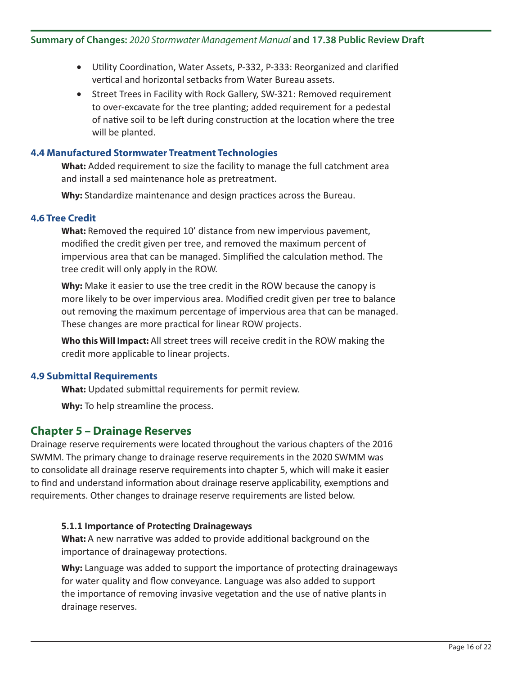- Utility Coordination, Water Assets, P-332, P-333: Reorganized and clarified vertical and horizontal setbacks from Water Bureau assets.
- Street Trees in Facility with Rock Gallery, SW-321: Removed requirement to over-excavate for the tree planting; added requirement for a pedestal of native soil to be left during construction at the location where the tree will be planted.

# **4.4 Manufactured Stormwater Treatment Technologies**

**What:** Added requirement to size the facility to manage the full catchment area and install a sed maintenance hole as pretreatment.

**Why:** Standardize maintenance and design practices across the Bureau.

# **4.6 Tree Credit**

**What:** Removed the required 10' distance from new impervious pavement, modified the credit given per tree, and removed the maximum percent of impervious area that can be managed. Simplified the calculation method. The tree credit will only apply in the ROW.

**Why:** Make it easier to use the tree credit in the ROW because the canopy is more likely to be over impervious area. Modified credit given per tree to balance out removing the maximum percentage of impervious area that can be managed. These changes are more practical for linear ROW projects.

**Who this Will Impact:** All street trees will receive credit in the ROW making the credit more applicable to linear projects.

# **4.9 Submittal Requirements**

**What:** Updated submittal requirements for permit review.

**Why:** To help streamline the process.

# **Chapter 5 – Drainage Reserves**

Drainage reserve requirements were located throughout the various chapters of the 2016 SWMM. The primary change to drainage reserve requirements in the 2020 SWMM was to consolidate all drainage reserve requirements into chapter 5, which will make it easier to find and understand information about drainage reserve applicability, exemptions and requirements. Other changes to drainage reserve requirements are listed below.

# **5.1.1 Importance of Protecting Drainageways**

**What:** A new narrative was added to provide additional background on the importance of drainageway protections.

**Why:** Language was added to support the importance of protecting drainageways for water quality and flow conveyance. Language was also added to support the importance of removing invasive vegetation and the use of native plants in drainage reserves.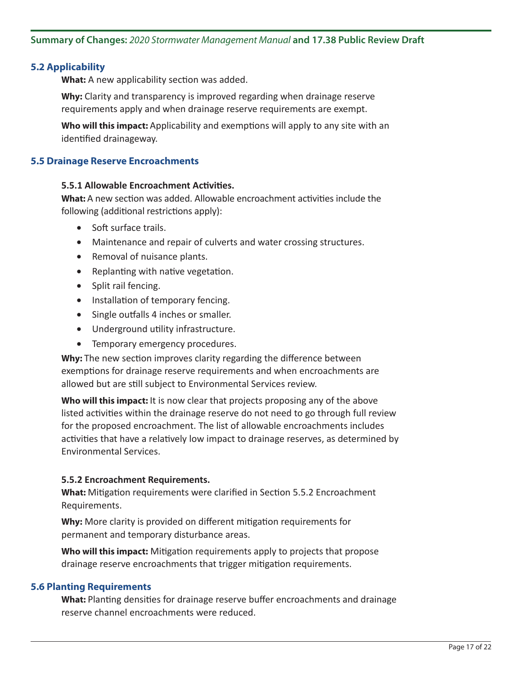# **5.2 Applicability**

**What:** A new applicability section was added.

**Why:** Clarity and transparency is improved regarding when drainage reserve requirements apply and when drainage reserve requirements are exempt.

**Who will this impact:** Applicability and exemptions will apply to any site with an identified drainageway.

# **5.5 Drainage Reserve Encroachments**

### **5.5.1 Allowable Encroachment Activities.**

**What:** A new section was added. Allowable encroachment activities include the following (additional restrictions apply):

- Soft surface trails.
- Maintenance and repair of culverts and water crossing structures.
- Removal of nuisance plants.
- Replanting with native vegetation.
- • Split rail fencing.
- Installation of temporary fencing.
- Single outfalls 4 inches or smaller.
- • Underground utility infrastructure.
- Temporary emergency procedures.

**Why:** The new section improves clarity regarding the difference between exemptions for drainage reserve requirements and when encroachments are allowed but are still subject to Environmental Services review.

**Who will this impact:** It is now clear that projects proposing any of the above listed activities within the drainage reserve do not need to go through full review for the proposed encroachment. The list of allowable encroachments includes activities that have a relatively low impact to drainage reserves, as determined by Environmental Services.

#### **5.5.2 Encroachment Requirements.**

**What:** Mitigation requirements were clarified in Section 5.5.2 Encroachment Requirements.

**Why:** More clarity is provided on different mitigation requirements for permanent and temporary disturbance areas.

**Who will this impact:** Mitigation requirements apply to projects that propose drainage reserve encroachments that trigger mitigation requirements.

#### **5.6 Planting Requirements**

**What:** Planting densities for drainage reserve buffer encroachments and drainage reserve channel encroachments were reduced.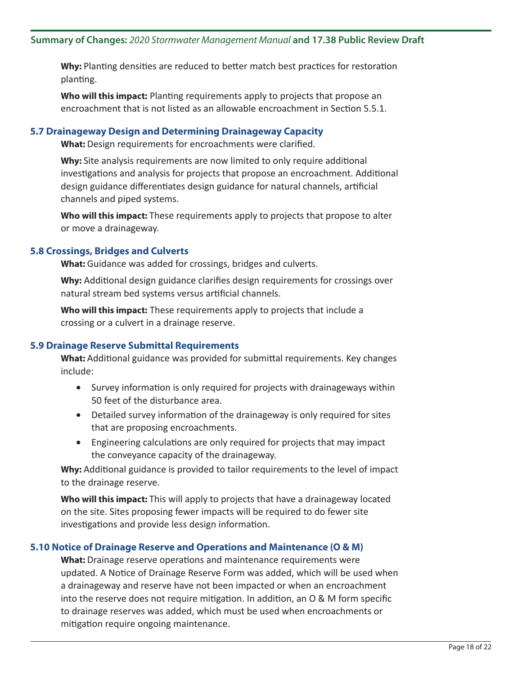**Why:** Planting densities are reduced to better match best practices for restoration planting.

**Who will this impact:** Planting requirements apply to projects that propose an encroachment that is not listed as an allowable encroachment in Section 5.5.1.

# **5.7 Drainageway Design and Determining Drainageway Capacity**

**What:** Design requirements for encroachments were clarified.

**Why:** Site analysis requirements are now limited to only require additional investigations and analysis for projects that propose an encroachment. Additional design guidance differentiates design guidance for natural channels, artificial channels and piped systems.

**Who will this impact:** These requirements apply to projects that propose to alter or move a drainageway.

#### **5.8 Crossings, Bridges and Culverts**

**What:** Guidance was added for crossings, bridges and culverts.

**Why:** Additional design guidance clarifies design requirements for crossings over natural stream bed systems versus artificial channels.

**Who will this impact:** These requirements apply to projects that include a crossing or a culvert in a drainage reserve.

#### **5.9 Drainage Reserve Submittal Requirements**

**What:** Additional guidance was provided for submittal requirements. Key changes include:

- Survey information is only required for projects with drainageways within 50 feet of the disturbance area.
- Detailed survey information of the drainageway is only required for sites that are proposing encroachments.
- Engineering calculations are only required for projects that may impact the conveyance capacity of the drainageway.

**Why:** Additional guidance is provided to tailor requirements to the level of impact to the drainage reserve.

**Who will this impact:** This will apply to projects that have a drainageway located on the site. Sites proposing fewer impacts will be required to do fewer site investigations and provide less design information.

# **5.10 Notice of Drainage Reserve and Operations and Maintenance (O & M)**

**What:** Drainage reserve operations and maintenance requirements were updated. A Notice of Drainage Reserve Form was added, which will be used when a drainageway and reserve have not been impacted or when an encroachment into the reserve does not require mitigation. In addition, an O & M form specific to drainage reserves was added, which must be used when encroachments or mitigation require ongoing maintenance.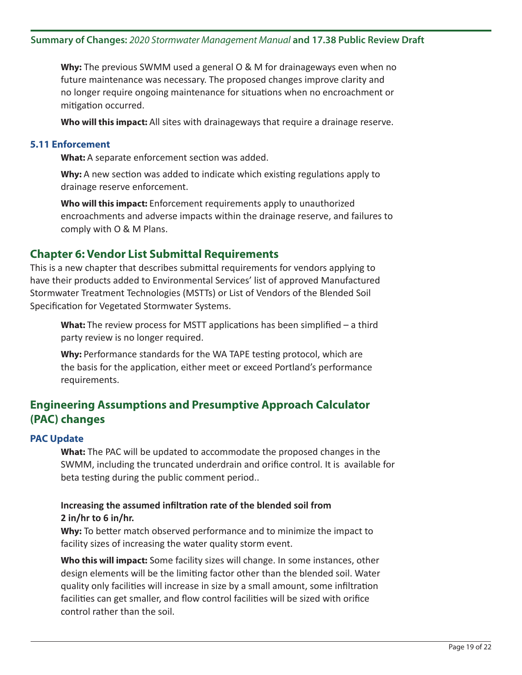**Why:** The previous SWMM used a general O & M for drainageways even when no future maintenance was necessary. The proposed changes improve clarity and no longer require ongoing maintenance for situations when no encroachment or mitigation occurred.

**Who will this impact:** All sites with drainageways that require a drainage reserve.

# **5.11 Enforcement**

**What:** A separate enforcement section was added.

**Why:** A new section was added to indicate which existing regulations apply to drainage reserve enforcement.

**Who will this impact:** Enforcement requirements apply to unauthorized encroachments and adverse impacts within the drainage reserve, and failures to comply with O & M Plans.

# **Chapter 6: Vendor List Submittal Requirements**

This is a new chapter that describes submittal requirements for vendors applying to have their products added to Environmental Services' list of approved Manufactured Stormwater Treatment Technologies (MSTTs) or List of Vendors of the Blended Soil Specification for Vegetated Stormwater Systems.

**What:** The review process for MSTT applications has been simplified – a third party review is no longer required.

**Why:** Performance standards for the WA TAPE testing protocol, which are the basis for the application, either meet or exceed Portland's performance requirements.

# **Engineering Assumptions and Presumptive Approach Calculator (PAC) changes**

# **PAC Update**

**What:** The PAC will be updated to accommodate the proposed changes in the SWMM, including the truncated underdrain and orifice control. It is available for beta testing during the public comment period..

# **Increasing the assumed infiltration rate of the blended soil from 2 in/hr to 6 in/hr.**

**Why:** To better match observed performance and to minimize the impact to facility sizes of increasing the water quality storm event.

**Who this will impact:** Some facility sizes will change. In some instances, other design elements will be the limiting factor other than the blended soil. Water quality only facilities will increase in size by a small amount, some infiltration facilities can get smaller, and flow control facilities will be sized with orifice control rather than the soil.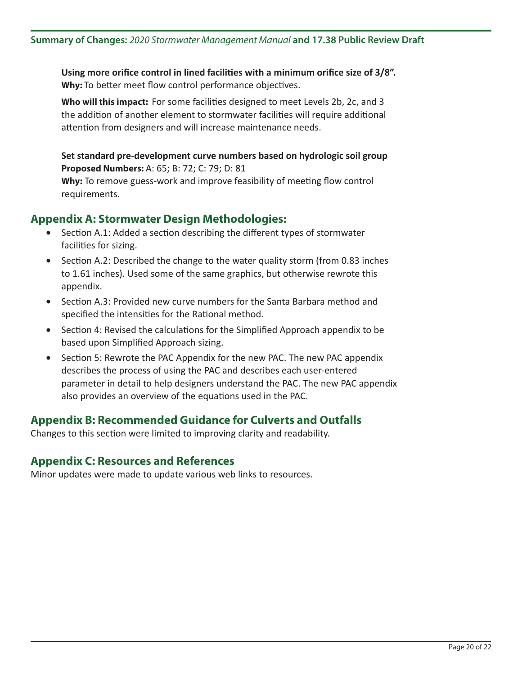**Using more orifice control in lined facilities with a minimum orifice size of 3/8". Why:** To better meet flow control performance objectives.

**Who will this impact:** For some facilities designed to meet Levels 2b, 2c, and 3 the addition of another element to stormwater facilities will require additional attention from designers and will increase maintenance needs.

**Set standard pre-development curve numbers based on hydrologic soil group Proposed Numbers:** A: 65; B: 72; C: 79; D: 81

**Why:** To remove guess-work and improve feasibility of meeting flow control requirements.

# **Appendix A: Stormwater Design Methodologies:**

- Section A.1: Added a section describing the different types of stormwater facilities for sizing.
- Section A.2: Described the change to the water quality storm (from 0.83 inches to 1.61 inches). Used some of the same graphics, but otherwise rewrote this appendix.
- Section A.3: Provided new curve numbers for the Santa Barbara method and specified the intensities for the Rational method.
- Section 4: Revised the calculations for the Simplified Approach appendix to be based upon Simplified Approach sizing.
- Section 5: Rewrote the PAC Appendix for the new PAC. The new PAC appendix describes the process of using the PAC and describes each user-entered parameter in detail to help designers understand the PAC. The new PAC appendix also provides an overview of the equations used in the PAC.

# **Appendix B: Recommended Guidance for Culverts and Outfalls**

Changes to this section were limited to improving clarity and readability.

# **Appendix C: Resources and References**

Minor updates were made to update various web links to resources.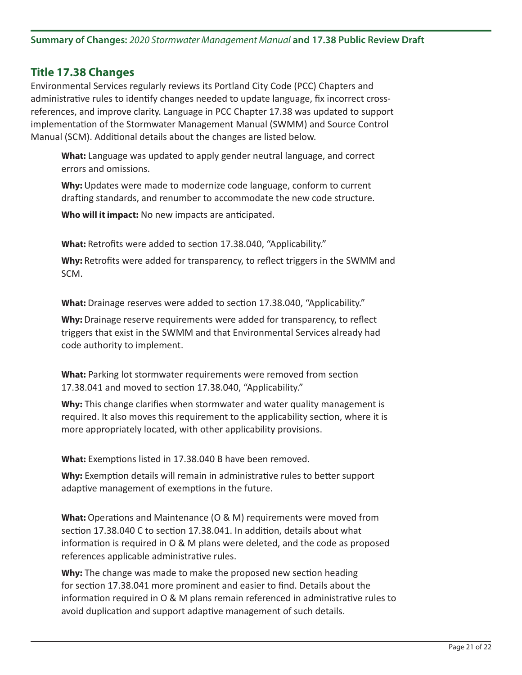# **Title 17.38 Changes**

Environmental Services regularly reviews its Portland City Code (PCC) Chapters and administrative rules to identify changes needed to update language, fix incorrect crossreferences, and improve clarity. Language in PCC Chapter 17.38 was updated to support implementation of the Stormwater Management Manual (SWMM) and Source Control Manual (SCM). Additional details about the changes are listed below.

**What:** Language was updated to apply gender neutral language, and correct errors and omissions.

**Why:** Updates were made to modernize code language, conform to current drafting standards, and renumber to accommodate the new code structure.

**Who will it impact:** No new impacts are anticipated.

**What:** Retrofits were added to section 17.38.040, "Applicability."

**Why:** Retrofits were added for transparency, to reflect triggers in the SWMM and SCM.

**What:** Drainage reserves were added to section 17.38.040, "Applicability."

**Why:** Drainage reserve requirements were added for transparency, to reflect triggers that exist in the SWMM and that Environmental Services already had code authority to implement.

**What:** Parking lot stormwater requirements were removed from section 17.38.041 and moved to section 17.38.040, "Applicability."

**Why:** This change clarifies when stormwater and water quality management is required. It also moves this requirement to the applicability section, where it is more appropriately located, with other applicability provisions.

**What:** Exemptions listed in 17.38.040 B have been removed.

**Why:** Exemption details will remain in administrative rules to better support adaptive management of exemptions in the future.

**What:** Operations and Maintenance (O & M) requirements were moved from section 17.38.040 C to section 17.38.041. In addition, details about what information is required in O & M plans were deleted, and the code as proposed references applicable administrative rules.

**Why:** The change was made to make the proposed new section heading for section 17.38.041 more prominent and easier to find. Details about the information required in O & M plans remain referenced in administrative rules to avoid duplication and support adaptive management of such details.